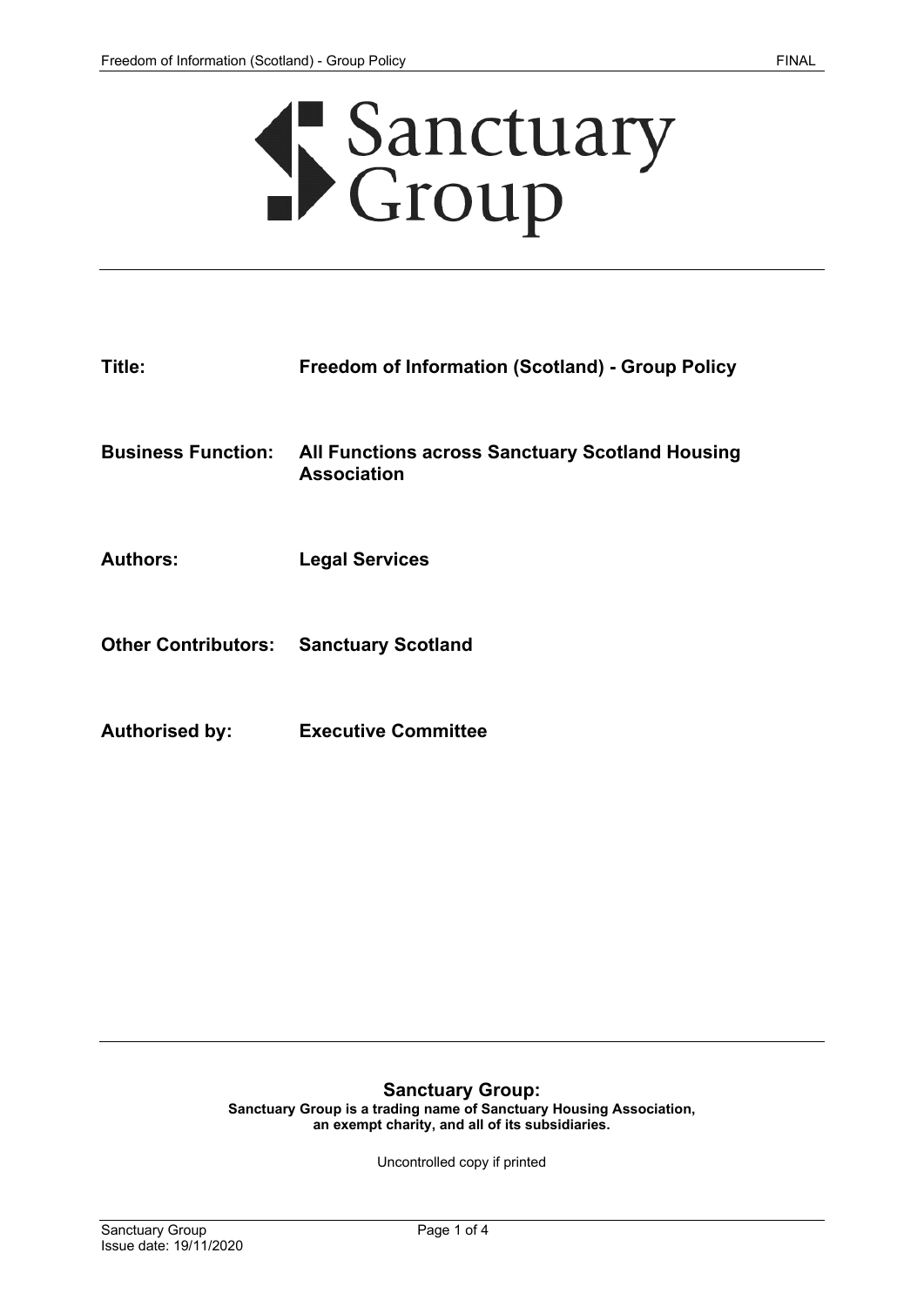

| Title: | <b>Freedom of Information (Scotland) - Group Policy</b> |
|--------|---------------------------------------------------------|
|        |                                                         |

**Business Function: All Functions across Sanctuary Scotland Housing Association**

**Authors: Legal Services**

**Other Contributors: Sanctuary Scotland**

**Authorised by: Executive Committee**

#### **Sanctuary Group:**

**Sanctuary Group is a trading name of Sanctuary Housing Association, an exempt charity, and all of its subsidiaries.**

Uncontrolled copy if printed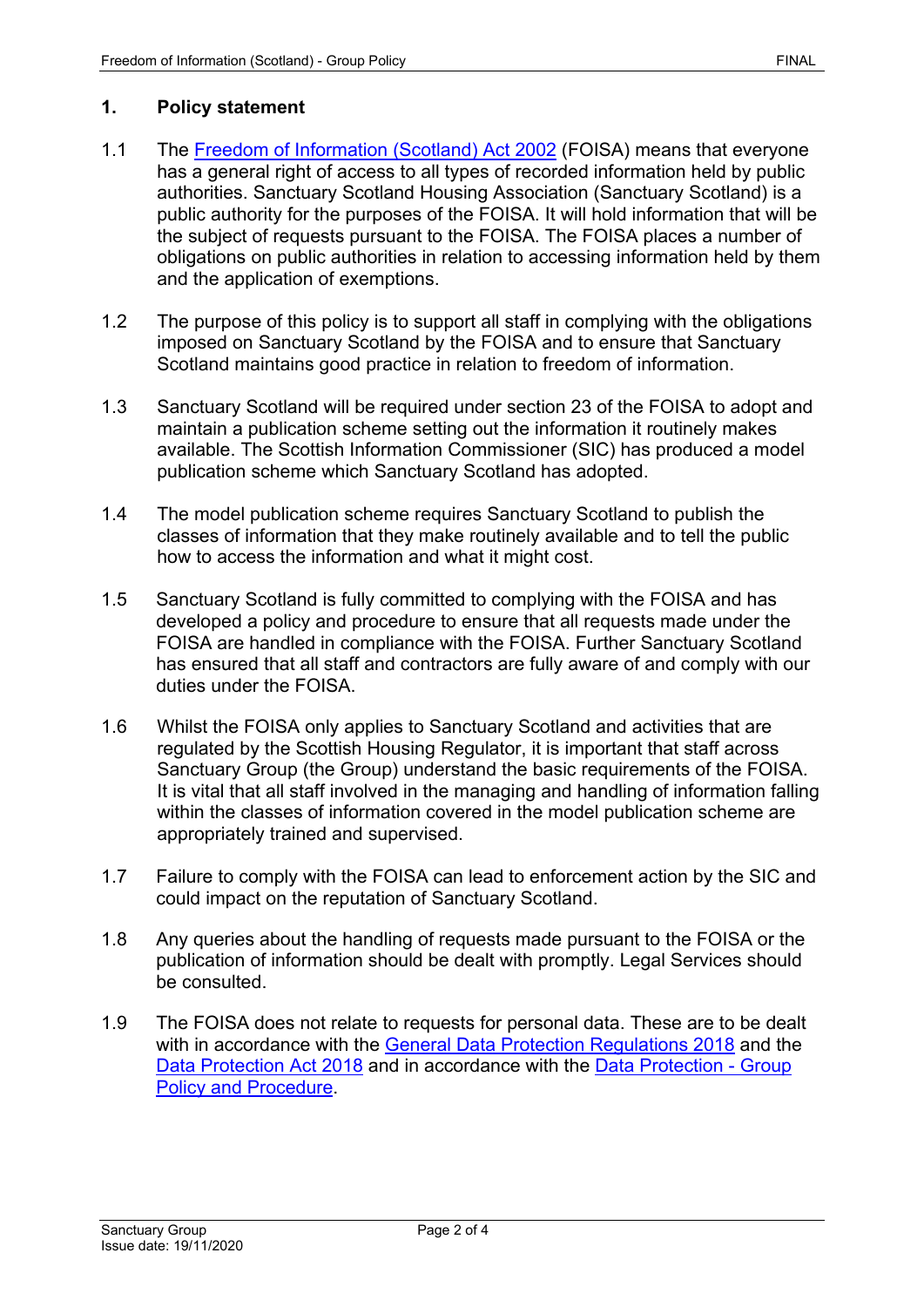## **1. Policy statement**

- 1.1 The [Freedom of Information \(Scotland\) Act 2002](https://www.legislation.gov.uk/asp/2002/13/contents) (FOISA) means that everyone has a general right of access to all types of recorded information held by public authorities. Sanctuary Scotland Housing Association (Sanctuary Scotland) is a public authority for the purposes of the FOISA. It will hold information that will be the subject of requests pursuant to the FOISA. The FOISA places a number of obligations on public authorities in relation to accessing information held by them and the application of exemptions.
- 1.2 The purpose of this policy is to support all staff in complying with the obligations imposed on Sanctuary Scotland by the FOISA and to ensure that Sanctuary Scotland maintains good practice in relation to freedom of information.
- 1.3 Sanctuary Scotland will be required under section 23 of the FOISA to adopt and maintain a publication scheme setting out the information it routinely makes available. The Scottish Information Commissioner (SIC) has produced a model publication scheme which Sanctuary Scotland has adopted.
- 1.4 The model publication scheme requires Sanctuary Scotland to publish the classes of information that they make routinely available and to tell the public how to access the information and what it might cost.
- 1.5 Sanctuary Scotland is fully committed to complying with the FOISA and has developed a policy and procedure to ensure that all requests made under the FOISA are handled in compliance with the FOISA. Further Sanctuary Scotland has ensured that all staff and contractors are fully aware of and comply with our duties under the FOISA.
- 1.6 Whilst the FOISA only applies to Sanctuary Scotland and activities that are regulated by the Scottish Housing Regulator, it is important that staff across Sanctuary Group (the Group) understand the basic requirements of the FOISA. It is vital that all staff involved in the managing and handling of information falling within the classes of information covered in the model publication scheme are appropriately trained and supervised.
- 1.7 Failure to comply with the FOISA can lead to enforcement action by the SIC and could impact on the reputation of Sanctuary Scotland.
- 1.8 Any queries about the handling of requests made pursuant to the FOISA or the publication of information should be dealt with promptly. Legal Services should be consulted.
- 1.9 The FOISA does not relate to requests for personal data. These are to be dealt with in accordance with the [General Data Protection Regulations](https://gdpr-info.eu/) 2018 and the [Data Protection Act 2018](https://www.legislation.gov.uk/ukpga/2018/12/contents/enacted) and in accordance with the [Data Protection -](https://solis/PolicyManagement/policy/Policies/Forms/Policy%20Document%20Set/docsethomepage.aspx?ID=4012&FolderCTID=0x0120D52000DE99EA054D4DF944BE591D81E49729D0008C670BDB86BED740B0B89E295CD8357C&List=a03723e1-d48b-4958-9669-9b86a90ef8b0&RootFolder=%2FPolicyManagement%2Fpolicy%2FPolicies%2FData%20Protection%20%2D%20Group&RecSrc=%2FPolicyManagement%2Fpolicy%2FPolicies%2FData%20Protection%20%2D%20Group) Group [Policy and Procedure.](https://solis/PolicyManagement/policy/Policies/Forms/Policy%20Document%20Set/docsethomepage.aspx?ID=4012&FolderCTID=0x0120D52000DE99EA054D4DF944BE591D81E49729D0008C670BDB86BED740B0B89E295CD8357C&List=a03723e1-d48b-4958-9669-9b86a90ef8b0&RootFolder=%2FPolicyManagement%2Fpolicy%2FPolicies%2FData%20Protection%20%2D%20Group&RecSrc=%2FPolicyManagement%2Fpolicy%2FPolicies%2FData%20Protection%20%2D%20Group)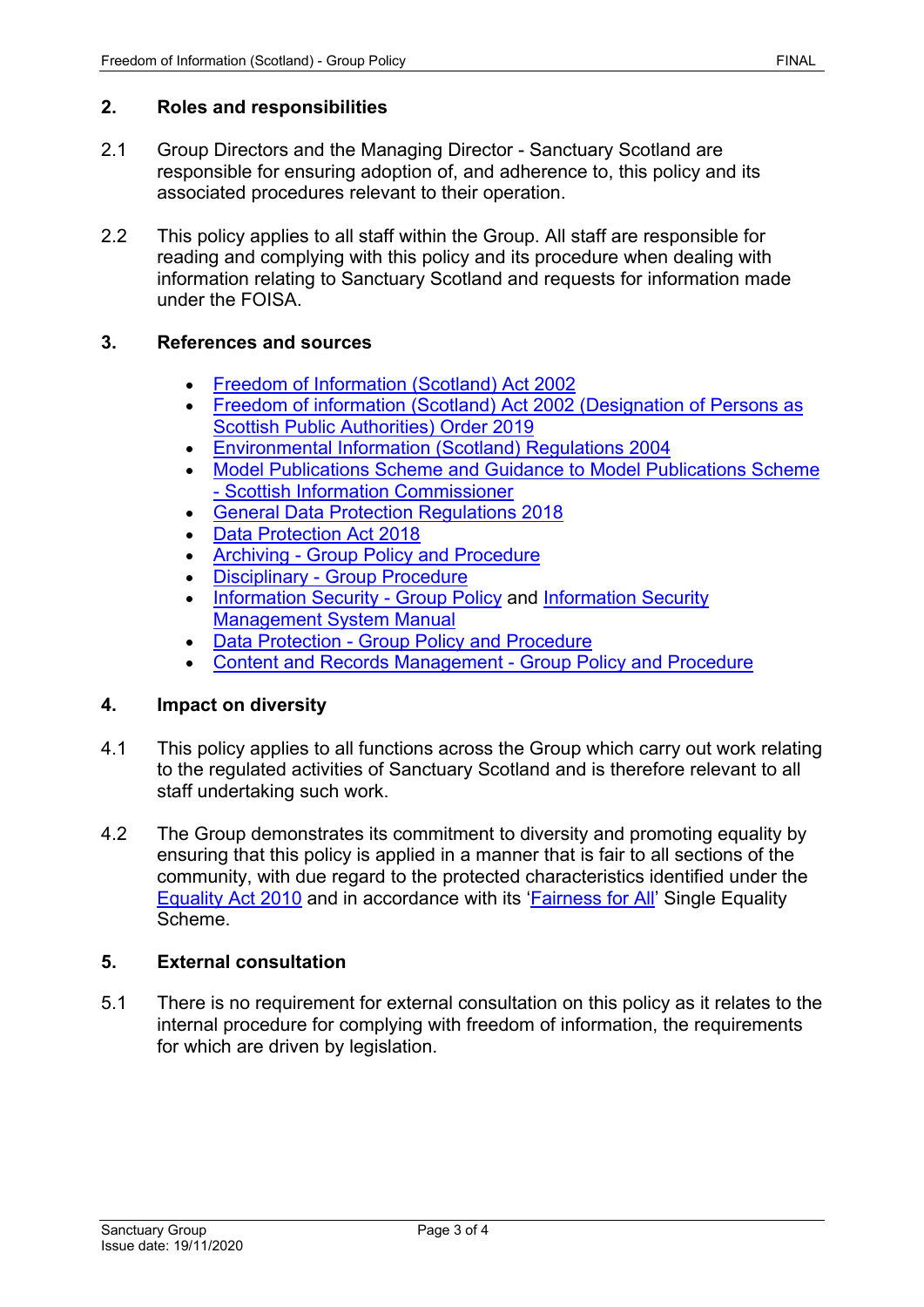### **2. Roles and responsibilities**

- 2.1 Group Directors and the Managing Director Sanctuary Scotland are responsible for ensuring adoption of, and adherence to, this policy and its associated procedures relevant to their operation.
- 2.2 This policy applies to all staff within the Group. All staff are responsible for reading and complying with this policy and its procedure when dealing with information relating to Sanctuary Scotland and requests for information made under the FOISA.

### **3. References and sources**

- [Freedom of Information \(Scotland\) Act 2002](https://www.legislation.gov.uk/asp/2002/13/contents)
- [Freedom of information \(Scotland\) Act 2002 \(Designation of Persons as](https://www.legislation.gov.uk/sdsi/2019/9780111040805/contents)  [Scottish Public Authorities\) Order 2019](https://www.legislation.gov.uk/sdsi/2019/9780111040805/contents)
- [Environmental Information \(Scotland\) Regulations 2004](https://www.legislation.gov.uk/ssi/2004/520/contents/made)
- [Model Publications Scheme and Guidance to Model Publications Scheme](http://www.itspublicknowledge.info/ScottishPublicAuthorities/PublicationSchemes/TheModelPublicationScheme.aspx)  - [Scottish Information Commissioner](http://www.itspublicknowledge.info/ScottishPublicAuthorities/PublicationSchemes/TheModelPublicationScheme.aspx)
- [General Data Protection Regulations](https://gdpr-info.eu/) 2018
- [Data Protection Act 2018](https://www.legislation.gov.uk/ukpga/2018/12/contents/enacted)
- Archiving [Group Policy and Procedure](https://solis/PolicyManagement/policy/Policies/Forms/Policy%20Document%20Set/docsethomepage.aspx?ID=5498&FolderCTID=0x0120D52000DE99EA054D4DF944BE591D81E49729D0008C670BDB86BED740B0B89E295CD8357C&List=a03723e1-d48b-4958-9669-9b86a90ef8b0&RootFolder=%2FPolicyManagement%2Fpolicy%2FPolicies%2FArchiving%20%2D%20Group&RecSrc=%2FPolicyManagement%2Fpolicy%2FPolicies%2FArchiving%20%2D%20Group)
- Disciplinary [Group Procedure](https://solis/PolicyManagement/policy/Policies/Forms/Policy%20Document%20Set/docsethomepage.aspx?ID=3940&FolderCTID=0x0120D52000DE99EA054D4DF944BE591D81E49729D0008C670BDB86BED740B0B89E295CD8357C&List=a03723e1-d48b-4958-9669-9b86a90ef8b0&RootFolder=%2FPolicyManagement%2Fpolicy%2FPolicies%2FDisciplinary%20%2D%20Group&RecSrc=%2FPolicyManagement%2Fpolicy%2FPolicies%2FDisciplinary%20%2D%20Group)
- [Information Security -](https://solis/PolicyManagement/policy/Policies/Forms/Policy%20Document%20Set/docsethomepage.aspx?ID=4811&FolderCTID=0x0120D52000DE99EA054D4DF944BE591D81E49729D0008C670BDB86BED740B0B89E295CD8357C&List=a03723e1-d48b-4958-9669-9b86a90ef8b0&RootFolder=%2FPolicyManagement%2Fpolicy%2FPolicies%2FInformation%20Security&RecSrc=%2FPolicyManagement%2Fpolicy%2FPolicies%2FInformation%20Security) Group Policy and Information Security [Management System Manual](https://solis/PolicyManagement/policy/Policies/Forms/Policy%20Document%20Set/docsethomepage.aspx?ID=4811&FolderCTID=0x0120D52000DE99EA054D4DF944BE591D81E49729D0008C670BDB86BED740B0B89E295CD8357C&List=a03723e1-d48b-4958-9669-9b86a90ef8b0&RootFolder=%2FPolicyManagement%2Fpolicy%2FPolicies%2FInformation%20Security&RecSrc=%2FPolicyManagement%2Fpolicy%2FPolicies%2FInformation%20Security)
- Data Protection [Group Policy and Procedure](https://solis/PolicyManagement/policy/Policies/Forms/Policy%20Document%20Set/docsethomepage.aspx?ID=4012&FolderCTID=0x0120D52000DE99EA054D4DF944BE591D81E49729D0008C670BDB86BED740B0B89E295CD8357C&List=a03723e1-d48b-4958-9669-9b86a90ef8b0&RootFolder=%2FPolicyManagement%2Fpolicy%2FPolicies%2FData%20Protection%20%2D%20Group&RecSrc=%2FPolicyManagement%2Fpolicy%2FPolicies%2FData%20Protection%20%2D%20Group)
- [Content and Records Management -](https://solis/PolicyManagement/policy/Policies/Forms/Policy%20Document%20Set/docsethomepage.aspx?ID=4124&FolderCTID=0x0120D52000DE99EA054D4DF944BE591D81E49729D0008C670BDB86BED740B0B89E295CD8357C&List=a03723e1-d48b-4958-9669-9b86a90ef8b0&RootFolder=%2FPolicyManagement%2Fpolicy%2FPolicies%2FContent%20and%20Records%20Management%20%2D%20Group&RecSrc=%2FPolicyManagement%2Fpolicy%2FPolicies%2FContent%20and%20Records%20Management%20%2D%20Group) Group Policy and Procedure

### **4. Impact on diversity**

- 4.1 This policy applies to all functions across the Group which carry out work relating to the regulated activities of Sanctuary Scotland and is therefore relevant to all staff undertaking such work.
- 4.2 The Group demonstrates its commitment to diversity and promoting equality by ensuring that this policy is applied in a manner that is fair to all sections of the community, with due regard to the protected characteristics identified under the Equality [Act 2010](https://www.legislation.gov.uk/ukpga/2010/15/contents) and in accordance with its ['Fairness for All'](https://solis/Diversity/Pages/Fairnessforall.aspx) Single Equality Scheme.

### **5. External consultation**

5.1 There is no requirement for external consultation on this policy as it relates to the internal procedure for complying with freedom of information, the requirements for which are driven by legislation.